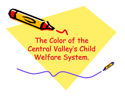The Color of the The Color of the Central Valley's Child Welfare System.

 $\mathcal{L}^{(n)}$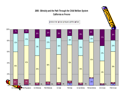#### **2005 - Ethnicity and the Path Through the Child Welfare System California vs Fresno**

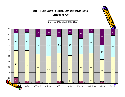### **2005 - Ethnicity and the Path Through the Child Welfare System California vs. Kern**

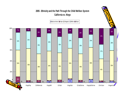#### **2005 - Ethnicity and the Path Through the Child Welfare System California vs. Kings**

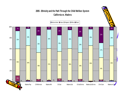#### **2005 - Ethnicity and the Path Through the Child Welfare System California vs. Madera**

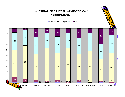#### **2005 - Ethnicity and the Path Through the Child Welfare System California vs. Merced**

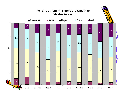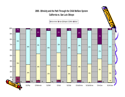#### **2005 - Ethnicity and the Path Through the Child Welfare System California vs. San Luis Obispo**

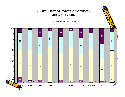#### **2005 - Ethnicity and the Path Through the Child Welfare System California vs. Santa Barbara**

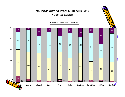#### **2005 - Ethnicity and the Path Through the Child Welfare System California vs. Stanislaus**

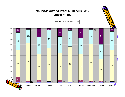#### **2005 - Ethnicity and the Path Through the Child Welfare System California vs. Tulare**

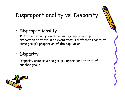# Disproportionality vs. Disparity

•Disproportionality

Disproportionality exists when a group makes up a proportion of those in an event that is different than that same group's proportion of the population.

#### •Disparity

Disparity compares one group's experience to that of another group.

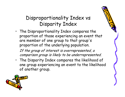## Disproportionality Index vs Disparity Index

• The Disproportionality Index compares the proportion of those experiencing an event that are member of one group to that group's proportion of the underlying population.

If the group of interest is overrepresented, a comparison group is likely to be underrepresented.

• The Disparity Index compares the likelihood of one group experiencing an event to the likelihood of another group.

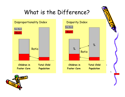# What is the Difference?





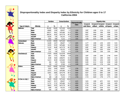

#### **Disproportionality Index and Disparity Index by Ethnicity for Children ages 0 to 17 California 2004**

|                         |                        | <b>Numbers</b> |        | <b>Census Numbers</b> |        |                             | <b>Disparity Index</b> |                |         |                                     |                |
|-------------------------|------------------------|----------------|--------|-----------------------|--------|-----------------------------|------------------------|----------------|---------|-------------------------------------|----------------|
|                         |                        |                |        |                       |        | Disproportionality<br>Index | <b>Compared</b>        |                |         | Compared Compared Compared Compared |                |
| <b>Type of Analysis</b> | <b>Ethnicity</b>       | n              | $\%$   | $\mathsf n$           | %      |                             | wall Others            | <b>w/Black</b> | w/White | <b>wHspanic</b>                     | <b>w/Asian</b> |
| <b>Referrals</b>        | <b>Total</b>           | 491,202        | 100.00 | 9,575,520             | 100.00 |                             |                        |                |         |                                     |                |
|                         | <b>Black</b>           | 68,469         | 13.94  | 695,837               | 7.27   | 1.918                       | 2.067                  | 1.000          | 2.154   | 2.131                               | 5.547          |
|                         | <b>White</b>           | 140,557        | 28.61  | 3,076,406             | 32.13  | 0.891                       | 0.847                  | 0.464          | 1.000   | 0.990                               | 2.576          |
|                         | <b>Hispanic</b>        | 206,534        | 42.05  | 4,473,778             | 46.72  | 0.900                       | 0.827                  | 0.469          | 1.010   | 1.000                               | 2.602          |
|                         | <b>Asian/Pl</b>        | 16,520         | 3.36   | 931,255               | 9.73   | 0.346                       | 0.323                  | 0.180          | 0.388   | 0.384                               | 1.000          |
|                         | <b>Native American</b> | 3,942          | 0.80   | 72,152                | 0.75   | 1.065                       | 1.066                  | 0.555          | 1.196   | 1.183                               | 3.080          |
| <b>Substantiated</b>    | <b>Total</b>           | 111,034        | 100.00 | 9,575,520             | 100.00 |                             |                        |                |         |                                     |                |
| <b>Referrals</b>        | <b>Black</b>           | 16,180         | 14.57  | 695,837               | 7.27   | 2.005                       | 2.177                  | 1.000          | 2.195   | 2.019                               | 5.551          |
|                         | <b>White</b>           | 32,593         | 29.35  | 3,076,406             | 32.13  | 0.914                       | 0.878                  | 0.456          | 1.000   | 0.920                               | 2.529          |
|                         | <b>Hispanic</b>        | 51,519         | 46.40  | 4,473,778             | 46.72  | 0.993                       | 0.987                  | 0.495          | 1.087   | 1.000                               | 2.749          |
|                         | Asian/Pl               | 3,901          | 3.51   | 931,255               | 9.73   | 0.361                       | 0.338                  | 0.180          | 0.395   | 0.364                               | $1.000$        |
|                         | <b>Native American</b> | 1,151          | 1.04   | 72,152                | 0.75   | 1.376                       | 1.380                  | 0.686          | 1.506   | 1.385                               | 3.808          |
| First Entries(*)        | Total                  | 27,079         | 100.00 | 9,212,678             | 100.00 |                             |                        |                |         |                                     |                |
|                         | <b>Black</b>           | 4,851          | 17.91  | 606,448               | 6.58   | 2.721                       | 3.097                  | 1.000          | 2.836   | 2.748                               | 8.919          |
|                         | <b>White</b>           | 8,348          | 30.83  | 2,960,075             | 32.13  | 0.959                       | 0.941                  | 0.353          | 1.000   | 0.969                               | 3.145          |
|                         | <b>Hispanic</b>        | 12,613         | 46.58  | 4,333,602             | 47.04  | 0.990                       | 0.982                  | 0.364          | 1.032   | 1.000                               | 3.245          |
|                         | Asian/Pl               | 826            | 3.05   | 921,026               | 10.00  | 0.305                       | 0.283                  | 0.112          | 0.318   | 0.308                               | 1.000          |
|                         | <b>Native American</b> | 329            | 1.21   | 67,920                | 0.74   | 1.648                       | 1.656                  | 0.606          | 1.718   | 1.664                               | 5.401          |
| <b>Entries</b>          | <b>Total</b>           | 33,337         | 100.00 | 9,575,520             | 100.00 |                             |                        |                |         |                                     |                |
|                         | <b>Black</b>           | 6,563          | 19.69  | 695,837               | 7.27   | 2.709                       | 3.128                  | 1.000          | 2798    | 2.822                               | 9.642          |
|                         | <b>White</b>           | 10,372         | 31.11  | 3,076,406             | 32.13  | 0.968                       | 0.954                  | 0.357          | 1.000   | 1.009                               | 3.446          |
|                         | <b>Hispanic</b>        | 14,951         | 44.85  | 4,473,778             | 46.72  | 0.960                       | 0.927                  | 0.354          | 0.991   | 1.000                               | 3.416          |
|                         | Asian/PI               | 911            | 2.73   | 931,255               | 9.73   | 0.281                       | 0.261                  | 0.104          | 0.290   | 0.293                               | 1.000          |
|                         | <b>Native American</b> | 428            | 1.28   | 72,152                | 0.75   | 1.704                       | 1.713                  | 0.629          | 1.759   | 1.775                               | 6.064          |
| In Care on July 1       | <b>Total</b>           | 79,650         | 100.00 | 9,575,520             | 100.00 |                             |                        |                |         |                                     |                |
|                         | <b>Black</b>           | 24,457         | 30.71  | 695,837               | 7.27   | 4.225                       | 5.655                  | 1.000          | 4.971   | 5.101                               | 20355          |
|                         | <b>White</b>           | 21,751         | 27.31  | 3,076,406             | 32.13  | 0.850                       | 0.794                  | 0.201          | 1.000   | 1.026                               | 4.095          |
|                         | <b>Hispanic</b>        | 30,823         | 38.70  | 4,473,778             | 46.72  | 0.828                       | 0.720                  | 0.196          | 0.974   | 1.000                               | 3.990          |
|                         | <b>Asian/Pl</b>        | 1,608          | 2.02   | 931,255               | 9.73   | 0.208                       | 0.191                  | 0.049          | 0.244   | 0.251                               | $1.000$        |
|                         | <b>Native American</b> | 959            | 1.20   | 72,152                | 0.75   | 1.598                       | 1.605                  | 0.378          | 1.880   | 1.929                               | 7.698          |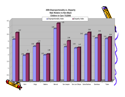